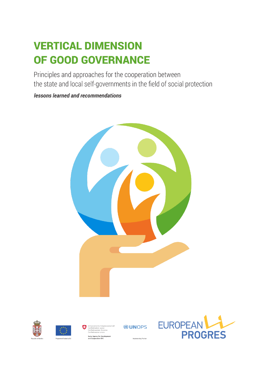# **VERTICAL DIMENSION** OF GOOD GOVERNANCE

Principles and approaches for the cooperation between the state and local self-governments in the field of social protection

lessons learned and recommendations









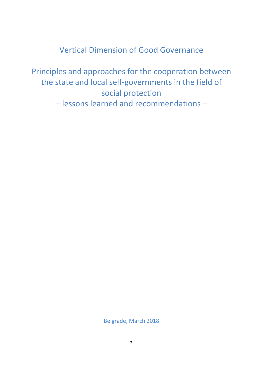Vertical Dimension of Good Governance

Principles and approaches for the cooperation between the state and local self-governments in the field of social protection – lessons learned and recommendations –

Belgrade, March 2018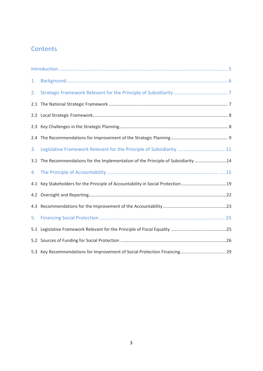# **Contents**

| 1.  |                                                                                  |  |
|-----|----------------------------------------------------------------------------------|--|
| 2.  |                                                                                  |  |
| 2.1 |                                                                                  |  |
|     |                                                                                  |  |
|     |                                                                                  |  |
|     |                                                                                  |  |
| 3.  | Legislative Framework Relevant for the Principle of Subsidiarity  11             |  |
| 3.1 | The Recommendations for the Implementation of the Principle of Subsidiarity 14   |  |
| 4.  |                                                                                  |  |
|     | 4.1 Key Stakeholders for the Principle of Accountability in Social Protection 19 |  |
|     |                                                                                  |  |
| 4.3 |                                                                                  |  |
| 5.  |                                                                                  |  |
| 5.1 |                                                                                  |  |
|     |                                                                                  |  |
|     |                                                                                  |  |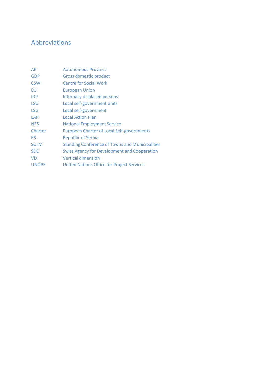# <span id="page-3-0"></span>Abbreviations

| AP           | <b>Autonomous Province</b>                             |
|--------------|--------------------------------------------------------|
| <b>GDP</b>   | Gross domestic product                                 |
| <b>CSW</b>   | <b>Centre for Social Work</b>                          |
| EU           | <b>European Union</b>                                  |
| <b>IDP</b>   | Internally displaced persons                           |
| <b>LSU</b>   | Local self-government units                            |
| <b>LSG</b>   | Local self-government                                  |
| LAP          | <b>Local Action Plan</b>                               |
| <b>NES</b>   | <b>National Employment Service</b>                     |
| Charter      | <b>European Charter of Local Self-governments</b>      |
| <b>RS</b>    | <b>Republic of Serbia</b>                              |
| <b>SCTM</b>  | <b>Standing Conference of Towns and Municipalities</b> |
| <b>SDC</b>   | <b>Swiss Agency for Development and Cooperation</b>    |
| <b>VD</b>    | <b>Vertical dimension</b>                              |
| <b>UNOPS</b> | <b>United Nations Office for Project Services</b>      |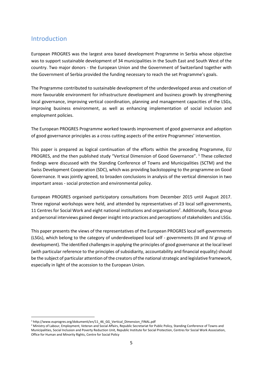# Introduction

European PROGRES was the largest area based development Programme in Serbia whose objective was to support sustainable development of 34 municipalities in the South East and South West of the country. Two major donors - the European Union and the Government of Switzerland together with the Government of Serbia provided the funding necessary to reach the set Programme's goals.

The Programme contributed to sustainable development of the underdeveloped areas and creation of more favourable environment for infrastructure development and business growth by strengthening local governance, improving vertical coordination, planning and management capacities of the LSGs, improving business environment, as well as enhancing implementation of social inclusion and employment policies.

The European PROGRES Programme worked towards improvement of good governance and adoption of good governance principles as a cross cutting aspects of the entire Programmes' intervention.

This paper is prepared as logical continuation of the efforts within the preceding Programme, EU PROGRES, and the then published study "Vertical Dimension of Good Governance". <sup>1</sup> These collected findings were discussed with the Standing Conference of Towns and Municipalities (SCTM) and the Swiss Development Cooperation (SDC), which was providing backstopping to the programme on Good Governance. It was jointly agreed, to broaden conclusions in analysis of the vertical dimension in two important areas - social protection and environmental policy.

European PROGRES organised participatory consultations from December 2015 until August 2017. Three regional workshops were held, and attended by representatives of 23 local self-governments, 11 Centres for Social Work and eight national institutions and organisations<sup>2</sup>. Additionally, focus group and personal interviews gained deeper insight into practices and perceptions of stakeholders and LSGs.

This paper presents the views of the representatives of the European PROGRES local self-governments (LSGs), which belong to the category of underdeveloped local self - governments (III and IV group of development). The identified challenges in applying the principles of good governance at the local level (with particular reference to the principles of subsidiarity, accountability and financial equality) should be the subject of particular attention of the creators of the national strategic and legislative framework, especially in light of the accession to the European Union.

<sup>&</sup>lt;sup>1</sup> http://www.euprogres.org/dokumenti/en/11\_46\_GG\_Vertical\_Dimension\_FINAL.pdf

<sup>&</sup>lt;sup>2</sup> Ministry of Labour, Employment, Veteran and Social Affairs, Republic Secretariat for Public Policy, Standing Conference of Towns and Municipalities, Social Inclusion and Poverty Reduction Unit, Republic Institute for Social Protection, Centres for Social Work Association, Office for Human and Minority Rights, Centre for Social Policy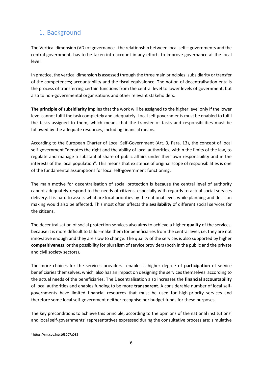# <span id="page-5-0"></span>1. Background

The Vertical dimension (VD) of governance - the relationship between local self – governments and the central government, has to be taken into account in any efforts to improve governance at the local level.

In practice, the vertical dimension is assessed through the three main principles: subsidiarity or transfer of the competences; accountability and the fiscal equivalence. The notion of decentralisation entails the process of transferring certain functions from the central level to lower levels of government, but also to non-governmental organisations and other relevant stakeholders.

**The principle of subsidiarity** implies that the work will be assigned to the higher level only if the lower level cannot fulfil the task completely and adequately. Local self-governments must be enabled to fulfil the tasks assigned to them, which means that the transfer of tasks and responsibilities must be followed by the adequate resources, including financial means.

According to the European Charter of Local Self-Government (Art. 3, Para. 13), the concept of local self-government "denotes the right and the ability of local authorities, within the limits of the law, to regulate and manage a substantial share of public affairs under their own responsibility and in the interests of the local population". This means that existence of original scope of responsibilities is one of the fundamental assumptions for local self-government functioning.

The main motive for decentralisation of social protection is because the central level of authority cannot adequately respond to the needs of citizens, especially with regards to actual social services delivery. It is hard to assess what are local priorities by the national level, while planning and decision making would also be affected. This most often affects the **availability** of different social services for the citizens.

The decentralisation of social protection services also aims to achieve a higher **quality** of the services, because it is more difficult to tailor-make them for beneficiaries from the central level, i.e. they are not innovative enough and they are slow to change. The quality of the services is also supported by higher **competitiveness**, or the possibility for pluralism of service providers (both in the public and the private and civil society sectors).

The more choices for the services providers enables a higher degree of **participation** of service beneficiaries themselves, which also has an impact on designing the services themselves according to the actual needs of the beneficiaries. The Decentralisation also increases the **financial accountability** of local authorities and enables funding to be more **transparent**. A considerable number of local selfgovernments have limited financial resources that must be used for high-priority services and therefore some local self-government neither recognise nor budget funds for these purposes.

The key preconditions to achieve this principle, according to the opinions of the national institutions' and local self-governments' representatives expressed during the consultative process are: simulative

 $\overline{\phantom{a}}$ <sup>3</sup> https://rm.coe.int/168007a088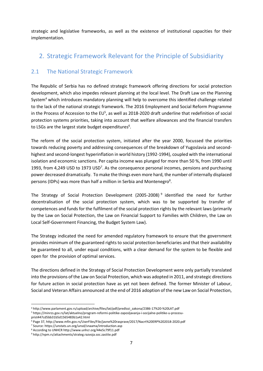strategic and legislative frameworks, as well as the existence of institutional capacities for their implementation.

# <span id="page-6-0"></span>2. Strategic Framework Relevant for the Principle of Subsidiarity

# <span id="page-6-1"></span>2.1 The National Strategic Framework

The Republic of Serbia has no defined strategic framework offering directions for social protection development, which also impedes relevant planning at the local level. The Draft Law on the Planning System<sup>4</sup> which introduces mandatory planning will help to overcome this identified challenge related to the lack of the national strategic framework. The 2016 Employment and Social Reform Programme in the Process of Accession to the EU<sup>5</sup>, as well as 2018-2020 draft underline that redefinition of social protection systems priorities, taking into account that welfare allowances and the financial transfers to LSGs are the largest state budget expenditures $6$ .

The reform of the social protection system, initiated after the year 2000, focussed the priorities towards reducing poverty and addressing consequences of the breakdown of Yugoslavia and secondhighest and second-longest hyperinflation in world history (1992-1994), coupled with the international isolation and economic sanctions. Per capita income was plunged for more than 50 %, from 1990 until 1993, from 4,249 USD to 1973 USD<sup>7</sup>. As the consequence personal incomes, pensions and purchasing power decreased dramatically. To make the things even more hard, the number of internally displaced persons (IDPs) was more than half a million in Serbia and Montenegro<sup>8</sup>.

The Strategy of Social Protection Development (2005-2008)<sup>9</sup> identified the need for further decentralisation of the social protection system, which was to be supported by transfer of competences and funds for the fulfilment of the social protection rights by the relevant laws (primarily by the Law on Social Protection, the Law on Financial Support to Families with Children, the Law on Local Self-Government Financing, the Budget System Law).

The Strategy indicated the need for amended regulatory framework to ensure that the government provides minimum of the guaranteed rights to social protection beneficiaries and that their availability be guaranteed to all, under equal conditions, with a clear demand for the system to be flexible and open for the provision of optimal services.

The directions defined in the Strategy of Social Protection Development were only partially translated into the provisions of the Law on Social Protection, which was adopted in 2011, and strategic directions for future action in social protection have as yet not been defined. The former Minister of Labour, Social and Veteran Affairs announced at the end of 2016 adoption of the new Law on Social Protection,

l <sup>4</sup> http://www.parlament.gov.rs/upload/archive/files/lat/pdf/predlozi\_zakona/2386-17%20-%20LAT.pdf

<sup>5</sup> https://minrzs.gov.rs/lat/aktuelno/program-reformi-politike-zaposljavanja-i-socijalne-politike-u-procesuprist447cd5bb31b5d1565483b1a42.html

<sup>6</sup> Page 37, http://www.mfin.gov.rs/UserFiles/File/javne%20rasprave/2017/Nacrt%20ERP%202018-2020.pdf

<sup>7</sup> Source: https://unstats.un.org/unsd/snaama/introduction.asp

<sup>8</sup> According to UNHCR http://www.unhcr.org/44e5c79f11.pdf

<sup>9</sup> http://npm.rs/attachments/strateg.razvoja.soc.zastite.pdf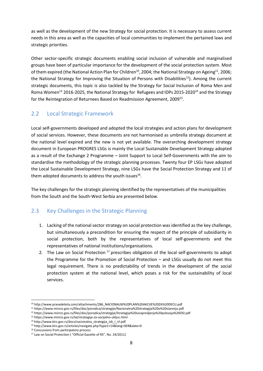as well as the development of the new Strategy for social protection. It is necessary to assess current needs in this area as well as the capacities of local communities to implement the pertained laws and strategic priorities.

Other sector-specific strategic documents enabling social inclusion of vulnerable and marginalised groups have been of particular importance for the development of the social protection system. Most of them expired (the National Action Plan for Children<sup>10</sup>, 2004; the National Strategy on Ageing<sup>11</sup>, 2006; the National Strategy for Improving the Situation of Persons with Disabilities<sup>12</sup>). Among the current strategic documents, this topic is also tackled by the Strategy for Social Inclusion of Roma Men and Roma Women<sup>13</sup> 2016-2025, the National Strategy for Refugees and IDPs 2015-2020<sup>14</sup> and the Strategy for the Reintegration of Returnees Based on Readmission Agreement, 2009<sup>15</sup>.

# <span id="page-7-0"></span>2.2 Local Strategic Framework

Local self-governments developed and adopted the local strategies and action plans for development of social services. However, these documents are not harmonised as umbrella strategy document at the national level expired and the new is not yet available. The overarching development strategy document in European PROGRES LSGs is mainly the Local Sustainable Development Strategy adopted as a result of the Exchange 2 Programme – Joint Support to Local Self-Governments with the aim to standardise the methodology of the strategic planning processes. Twenty four EP LSGs have adopted the Local Sustainable Development Strategy, nine LSGs have the Social Protection Strategy and 11 of them adopted documents to address the youth issues<sup>16</sup>.

The key challenges for the strategic planning identified by the representatives of the municipalities from the South and the South-West Serbia are presented below.

# <span id="page-7-1"></span>2.3 Key Challenges in the Strategic Planning

- 1. Lacking of the national sector strategy on social protection was identified as the key challenge, but simultaneously a precondition for ensuring the respect of the principle of subsidiarity in social protection, both by the representatives of local self-governments and the representatives of national institutions/organisations.
- 2. The Law on Social Protection <sup>17</sup> prescribes obligation of the local self-governments to adopt the Programme for the Promotion of Social Protection – and LSGs usually do not meet this legal requirement. There is no predictability of trends in the development of the social protection system at the national level, which poses a risk for the sustainability of local services.

<sup>10</sup> http://www.pravadeteta.com/attachments/286\_NACIONALNI%20PLAN%20AKCIJE%20ZA%20DECU.pdf

<sup>11</sup> https://www.minrzs.gov.rs/files/doc/porodica/strategije/Nacionalna%20strategija%20o%20starenju.pdf

<sup>12</sup> https://www.minrzs.gov.rs/files/doc/porodica/strategije/Strategija%20unapredjenja%20polozaja%20OSI.pdf

<sup>13</sup> https://www.minrzs.gov.rs/lat/strategija-za-socijalno-ukljuc.html

<sup>14</sup> http://www.kirs.gov.rs/docs/nacionalna\_strategija\_izb\_i\_irl.pdf

<sup>15</sup> http://www.kirs.gov.rs/articles/navigate.php?type1=14&lang=SER&date=0

<sup>&</sup>lt;sup>16</sup> Concussions from participatory process

<sup>17</sup> Law on Social Protection ( "Official Gazette of RS", No. 24/2011)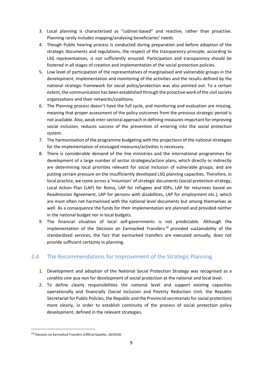- 3. Local planning is characterised as "cabinet-based" and reactive, rather than proactive. Planning rarely includes mapping/analysing beneficiaries' needs.
- 4. Though Public hearing process is conducted during preparation and before adoption of the strategic documents and regulations, the respect of the transparency principle, according to LSG representatives, is not sufficiently ensured. Participation and transparency should be fostered in all stages of creation and implementation of the social protection policies.
- 5. Low level of participation of the representatives of marginalised and vulnerable groups in the development, implementation and monitoring of the activities and the results defined by the national strategic framework for social policy/protection was also pointed out. To a certain extent, the communication has been established through the proactive work of the civil society organisations and their networks/coalitions.
- 6. The Planning process doesn't have the full cycle, and monitoring and evaluation are missing, meaning that proper assessment of the policy outcomes from the previous strategic period is not available. Also, weak inter-sectoral approach in defining measures important for improving social inclusion, reduces success of the prevention of entering into the social protection system.
- 7. The harmonisation of the programme budgeting with the projections of the national strategies for the implementation of envisaged measures/activities is necessary.
- 8. There is considerable demand of the line ministries and the international programmes for development of a large number of sector strategies/action plans, which directly or indirectly are determining local priorities relevant for social inclusion of vulnerable groups, and are putting certain pressure on the insufficiently developed LSG planning capacities. Therefore, in local practice, we come across a 'mountain' of strategic documents (social protection strategy, Local Action Plan (LAP) for Roma, LAP for refugees and IDPs, LAP for returnees based on Readmission Agreement, LAP for persons with disabilities, LAP for employment etc.), which are most often not harmonised with the national level documents but among themselves as well. As a consequence the funds for their implementation are planned and provided neither in the national budget nor in local budgets.
- 9. The financial situation of local self-governments is not predictable. Although the implementation of the Decision on Earmarked Transfers<sup>18</sup> provided sustainability of the standardised services, the fact that earmarked transfers are executed annually, does not provide sufficient certainty in planning.

# <span id="page-8-0"></span>2.4 The Recommendations for Improvement of the Strategic Planning

- 1. Development and adoption of the National Social Protection Strategy was recognised as a *conditio sine qua non* for development of social protection at the national and local level.
- 2. To define clearly responsibilities the national level and support existing capacities operationally and financially (Social Inclusion and Poverty Reduction Unit, the Republic Secretariat for Public Policies, the Republic and the Provincial secretariats for social protection) more clearly, in order to establish continuity of the process of social protection policy development, defined in the relevant strategies.

l

<sup>18</sup> Decision on Earmarked Transfers (Official Gazette, 18/2016)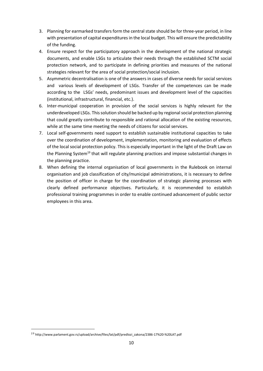- 3. Planning for earmarked transfers form the central state should be for three-year period, in line with presentation of capital expenditures in the local budget. This will ensure the predictability of the funding.
- 4. Ensure respect for the participatory approach in the development of the national strategic documents, and enable LSGs to articulate their needs through the established SCTM social protection network, and to participate in defining priorities and measures of the national strategies relevant for the area of social protection/social inclusion.
- 5. Asymmetric decentralisation is one of the answers in cases of diverse needs for social services and various levels of development of LSGs. Transfer of the competences can be made according to the LSGs' needs, predominant issues and development level of the capacities (institutional, infrastructural, financial, etc.).
- 6. Inter-municipal cooperation in provision of the social services is highly relevant for the underdeveloped LSGs. This solution should be backed up by regional social protection planning that could greatly contribute to responsible and rational allocation of the existing resources, while at the same time meeting the needs of citizens for social services.
- 7. Local self-governments need support to establish sustainable institutional capacities to take over the coordination of development, implementation, monitoring and evaluation of effects of the local social protection policy. This is especially important in the light of the Draft Law on the Planning System<sup>19</sup> that will regulate planning practices and impose substantial changes in the planning practice.
- 8. When defining the internal organisation of local governments in the Rulebook on internal organisation and job classification of city/municipal administrations, it is necessary to define the position of officer in charge for the coordination of strategic planning processes with clearly defined performance objectives. Particularly, it is recommended to establish professional training programmes in order to enable continued advancement of public sector employees in this area.

l

<sup>19</sup> http://www.parlament.gov.rs/upload/archive/files/lat/pdf/predlozi\_zakona/2386-17%20-%20LAT.pdf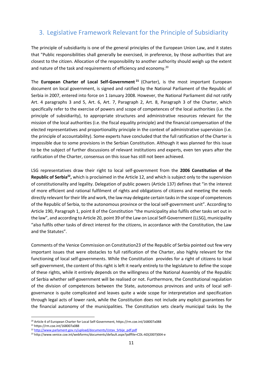# <span id="page-10-0"></span>3. Legislative Framework Relevant for the Principle of Subsidiarity

The principle of subsidiarity is one of the general principles of the European Union Law, and it states that "Public responsibilities shall generally be exercised, in preference, by those authorities that are closest to the citizen. Allocation of the responsibility to another authority should weigh up the extent and nature of the task and requirements of efficiency and economy.<sup>20</sup>

The **European Charter of Local Self-Government <sup>21</sup>** (Charter), is the most important European document on local government, is signed and ratified by the National Parliament of the Republic of Serbia in 2007, entered into force on 1 January 2008. However, the National Parliament did not ratify Art. 4 paragraphs 3 and 5, Art. 6, Art. 7, Paragraph 2, Art. 8, Paragraph 3 of the Charter, which specifically refer to the exercise of powers and scope of competences of the local authorities (i.e. the principle of subsidiarity), to appropriate structures and administrative resources relevant for the mission of the local authorities (i.e. the fiscal equality principle) and the financial compensation of the elected representatives and proportionality principle in the context of administrative supervision (i.e. the principle of accountability). Some experts have concluded that the full ratification of the Charter is impossible due to some provisions in the Serbian Constitution. Although it was planned for this issue to be the subject of further discussions of relevant institutions and experts, even ten years after the ratification of the Charter, consensus on this issue has still not been achieved.

LSG representatives draw their right to local self-government from the **2006 Constitution of the Republic of Serbia<sup>22</sup> ,** which is proclaimed in the Article 12, and which is subject only to the supervision of constitutionality and legality. Delegation of public powers (Article 137) defines that "in the interest of more efficient and rational fulfilment of rights and obligations of citizens and meeting the needs directly relevant for their life and work, the law may delegate certain tasks in the scope of competences of the Republic of Serbia, to the autonomous province or the local self-government unit". According to Article 190, Paragraph 1, point 8 of the Constitution "the municipality also fulfils other tasks set out in the law", and according to Article 20, point 39 of the Law on Local Self-Government (LLSG), municipality "also fulfils other tasks of direct interest for the citizens, in accordance with the Constitution, the Law and the Statutes".

Comments of the Venice Commission on Constitution23 of the Republic of Serbia pointed out few very important issues that were obstacles to full ratification of the Charter, also highly relevant for the functioning of local self-governments. While the Constitution provides for a right of citizens to local self-government, the content of this right is left it nearly entirely to the legislature to define the scope of these rights, while it entirely depends on the willingness of the National Assembly of the Republic of Serbia whether self-government will be realised or not. Furthermore, the Constitutional regulation of the division of competences between the State, autonomous provinces and units of local selfgovernance is quite complicated and leaves quite a wide scope for interpretation and specification through legal acts of lower rank, while the Constitution does not include any explicit guarantees for the financial autonomy of the municipalities. The Constitution sets clearly municipal tasks by the

<sup>20</sup> Article 4 of European Charter for Local Self-Government, https://rm.coe.int/168007a088

<sup>21</sup> https://rm.coe.int/168007a088

<sup>&</sup>lt;sup>22</sup> [http://www.parlament.gov.rs/upload/documents/Ustav\\_Srbije\\_pdf.pdf](http://www.parlament.gov.rs/upload/documents/Ustav_Srbije_pdf.pdf)

<sup>23</sup> http://www.venice.coe.int/webforms/documents/default.aspx?pdffile=CDL-AD(2007)004-e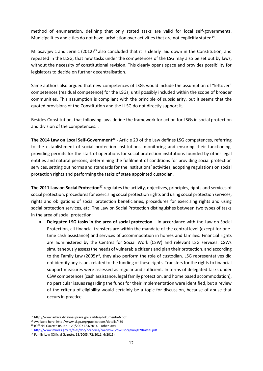method of enumeration, defining that only stated tasks are valid for local self-governments. Municipalities and cities do not have jurisdiction over activities that are not explicitly stated<sup>24</sup>.

Milosavljevic and Jerinic (2012)<sup>25</sup> also concluded that it is clearly laid down in the Constitution, and repeated in the LLSG, that new tasks under the competences of the LSG may also be set out by laws, without the necessity of constitutional revision. This clearly opens space and provides possibility for legislators to decide on further decentralisation.

Same authors also argued that new competences of LSGs would include the assumption of "leftover" competences (residual competence) for the LSGs, until possibly included within the scope of broader communities. This assumption is compliant with the principle of subsidiarity, but it seems that the quoted provisions of the Constitution and the LLSG do not directly support it.

Besides Constitution, that following laws define the framework for action for LSGs in social protection and division of the competences. :

**The 2014 Law on Local Self-Government<sup>26</sup> -** Article 20 of the Law defines LSG competences, referring to the establishment of social protection institutions, monitoring and ensuring their functioning, providing permits for the start of operations for social protection institutions founded by other legal entities and natural persons, determining the fulfilment of conditions for providing social protection services, setting out norms and standards for the institutions' activities, adopting regulations on social protection rights and performing the tasks of state appointed custodian.

**The 2011 Law on Social Protection<sup>27</sup>** regulates the activity, objectives, principles, rights and services of social protection, procedures for exercising social protection rights and using social protection services, rights and obligations of social protection beneficiaries, procedures for exercising rights and using social protection services, etc. The Law on Social Protection distinguishes between two types of tasks in the area of social protection:

 **Delegated LSG tasks in the area of social protection** – In accordance with the Law on Social Protection, all financial transfers are within the mandate of the central level (except for onetime cash assistance) and services of accommodation in homes and families. Financial rights are administered by the Centres for Social Work (CSW) and relevant LSG services. CSWs simultaneously assess the needs of vulnerable citizens and plan their protection, and according to the Family Law  $(2005)^{28}$ , they also perform the role of custodian. LSG representatives did not identify any issues related to the funding of these rights. Transfers for the rights to financial support measures were assessed as regular and sufficient. In terms of delegated tasks under CSW competences (cash assistance, legal family protection, and home based accommodation), no particular issues regarding the funds for their implementation were identified, but a review of the criteria of eligibility would certainly be a topic for discussion, because of abuse that occurs in practice.

<sup>24</sup> http://www.arhiva.drzavnauprava.gov.rs/files/dokumenta-6.pdf

<sup>25</sup> Available here: http://www.skgo.org/publications/details/439

<sup>26</sup> (Official Gazette RS, No. 129/2007 i 83/2014 – other law)

<sup>27</sup> <http://www.minrzs.gov.rs/files/doc/porodica/Zakon%20o%20socijalnoj%20zastiti.pdf>

<sup>28</sup> Family Law (Official Gazette, 18/2005, 72/2011, 6/2015)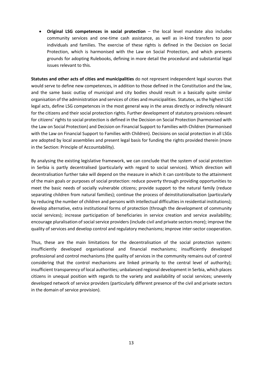**Original LSG competences in social protection** – the local level mandate also includes community services and one-time cash assistance, as well as in-kind transfers to poor individuals and families. The exercise of these rights is defined in the Decision on Social Protection, which is harmonised with the Law on Social Protection, and which presents grounds for adopting Rulebooks, defining in more detail the procedural and substantial legal issues relevant to this.

**Statutes and other acts of cities and municipalities** do not represent independent legal sources that would serve to define new competences, in addition to those defined in the Constitution and the law, and the same basic outlay of municipal and city bodies should result in a basically quite similar organisation of the administration and services of cities and municipalities. Statutes, as the highest LSG legal acts, define LSG competences in the most general way in the areas directly or indirectly relevant for the citizens and their social protection rights. Further development of statutory provisions relevant for citizens' rights to social protection is defined in the Decision on Social Protection (harmonised with the Law on Social Protection) and Decision on Financial Support to Families with Children (Harmonised with the Law on Financial Support to Families with Children). Decisions on social protection in all LSGs are adopted by local assemblies and present legal basis for funding the rights provided therein (more in the Section: Principle of Accountability).

By analysing the existing legislative framework, we can conclude that the system of social protection in Serbia is partly decentralised (particularly with regard to social services). Which direction will decentralisation further take will depend on the measure in which it can contribute to the attainment of the main goals or purposes of social protection: reduce poverty through providing opportunities to meet the basic needs of socially vulnerable citizens; provide support to the natural family (reduce separating children from natural families); continue the process of deinstitutionalisation (particularly by reducing the number of children and persons with intellectual difficulties in residential institutions); develop alternative, extra institutional forms of protection (through the development of community social services); increase participation of beneficiaries in service creation and service availability; encourage pluralisation of social service providers (include civil and private sectors more); improve the quality of services and develop control and regulatory mechanisms; improve inter-sector cooperation.

Thus, these are the main limitations for the decentralisation of the social protection system: insufficiently developed organisational and financial mechanisms; insufficiently developed professional and control mechanisms (the quality of services in the community remains out of control considering that the control mechanisms are linked primarily to the central level of authority); insufficient transparency of local authorities; unbalanced regional development in Serbia, which places citizens in unequal position with regards to the variety and availability of social services; unevenly developed network of service providers (particularly different presence of the civil and private sectors in the domain of service provision).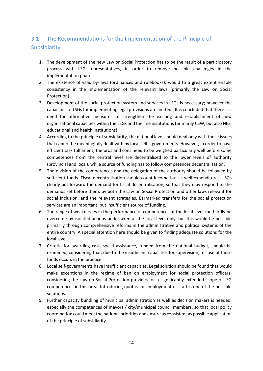# <span id="page-13-0"></span>3.1 The Recommendations for the Implementation of the Principle of Subsidiarity

- 1. The development of the new Law on Social Protection has to be the result of a participatory process with LSG representatives, in order to remove possible challenges in the implementation phase.
- 2. The existence of valid by-laws (ordinances and rulebooks), would to a great extent enable consistency in the implementation of the relevant laws (primarily the Law on Social Protection).
- 3. Development of the social protection system and services in LSGs is necessary; however the capacities of LSGs for implementing legal provisions are limited. It is concluded that there is a need for affirmative measures to strengthen the existing and establishment of new organisational capacities within the LSGs and the line institutions (primarily CSW, but also NES, educational and health institutions).
- 4. According to the principle of subsidiarity, the national level should deal only with those issues that cannot be meaningfully dealt with by local self – governments. However, in order to have efficient task fulfilment, the pros and cons need to be weighed particularly well before some competences from the central level are decentralised to the lower levels of authority (provincial and local), while source of funding has to follow competences decentralisation.
- 5. The division of the competences and the delegation of the authority should be followed by sufficient funds. Fiscal decentralisation should count income but as well expenditures. LSGs clearly put forward the demand for fiscal decentralisation, so that they may respond to the demands set before them, by both the Law on Social Protection and other laws relevant for social inclusion, and the relevant strategies. Earmarked transfers for the social protection services are an important, but insufficient source of funding.
- 6. The range of weaknesses in the performance of competences at the local level can hardly be overcome by isolated actions undertaken at the local level only, but this would be possible primarily through comprehensive reforms in the administrative and political systems of the entire country. A special attention here should be given to finding adequate solutions for the local level.
- 7. Criteria for awarding cash social assistance, funded from the national budget, should be examined, considering that, due to the insufficient capacities for supervision, misuse of these funds occurs in the practice.
- 8. Local self-governments have insufficient capacities. Legal solution should be found that would make exceptions in the regime of ban on employment for social protection officers, considering the Law on Social Protection provides for a significantly extended scope of LSG competences in this area. Introducing quotas for employment of staff is one of the possible solutions.
- 9. Further capacity bundling of municipal administration as well as decision makers is needed, especially the competences of mayors / city/municipal council members, so that local policy coordination could meet the national priorities and ensure as consistent as possible application of the principle of subsidiarity.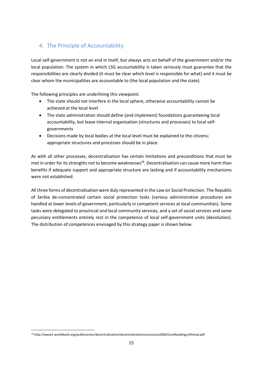# <span id="page-14-0"></span>4. The Principle of Accountability

Local self-government is not an end in itself, but always acts on behalf of the government and/or the local population. The system in which LSG accountability is taken seriously must guarantee that the responsibilities are clearly divided (it must be clear which level is responsible for what) and it must be clear whom the municipalities are accountable to (the local population and the state).

The following principles are underlining this viewpoint:

- The state should not interfere in the local sphere, otherwise accountability cannot be achieved at the local level
- The state administration should define (and implement) foundations guaranteeing local accountability, but leave internal organisation (structures and processes) to local selfgovernments
- Decisions made by local bodies at the local level must be explained to the citizens; appropriate structures and processes should be in place.

As with all other processes, decentralisation has certain limitations and preconditions that must be met in order for its strengths not to become weaknesses<sup>29</sup>. Decentralisation can cause more harm than benefits if adequate support and appropriate structure are lacking and if accountability mechanisms were not established.

All three forms of decentralisation were duly represented in the Law on Social Protection. The Republic of Serbia de-concentrated certain social protection tasks (various administrative procedures are handled at lower levels of government, particularly in competent services at local communities). Some tasks were delegated to provincial and local community services, and a set of social services and some pecuniary entitlements entirely rest in the competence of local self-government units (devolution). The distribution of competences envisaged by this strategy paper is shown below.

 $\overline{\phantom{a}}$ <sup>29</sup> http://www1.worldbank.org/publicsector/decentralization/decentralizationcorecourse2006/CoreReadings/Ahmad.pdf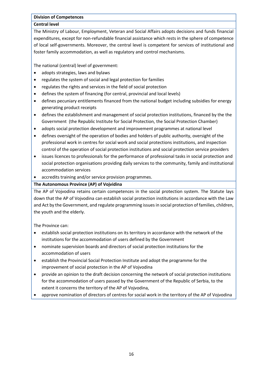#### **Division of Competences**

#### **Central level**

The Ministry of Labour, Employment, Veteran and Social Affairs adopts decisions and funds financial expenditures, except for non-refundable financial assistance which rests in the sphere of competence of local self-governments. Moreover, the central level is competent for services of institutional and foster family accommodation, as well as regulatory and control mechanisms.

The national (central) level of government:

- adopts strategies, laws and bylaws
- regulates the system of social and legal protection for families
- regulates the rights and services in the field of social protection
- defines the system of financing (for central, provincial and local levels)
- defines pecuniary entitlements financed from the national budget including subsidies for energy generating product receipts
- defines the establishment and management of social protection institutions, financed by the the Government (the Republic Institute for Social Protection, the Social Protection Chamber)
- adopts social protection development and improvement programmes at national level
- defines oversight of the operation of bodies and holders of public authority, oversight of the professional work in centres for social work and social protections institutions, and inspection control of the operation of social protection institutions and social protection service providers
- issues licences to professionals for the performance of professional tasks in social protection and social protection organisations providing daily services to the community, family and institutional accommodation services
- accredits training and/or service provision programmes.

#### **The Autonomous Province (AP) of Vojvidina**

The AP of Vojvodina retains certain competences in the social protection system. The Statute lays down that the AP of Vojvodina can establish social protection institutions in accordance with the Law and Act by the Government, and regulate programming issues in social protection of families, children, the youth and the elderly.

The Province can:

- establish social protection institutions on its territory in accordance with the network of the institutions for the accommodation of users defined by the Government
- nominate supervision boards and directors of social protection institutions for the accommodation of users
- establish the Provincial Social Protection Institute and adopt the programme for the improvement of social protection in the AP of Vojvodina
- provide an opinion to the draft decision concerning the network of social protection institutions for the accommodation of users passed by the Government of the Republic of Serbia, to the extent it concerns the territory of the AP of Vojvodina,
- approve nomination of directors of centres for social work in the territory of the AP of Vojvodina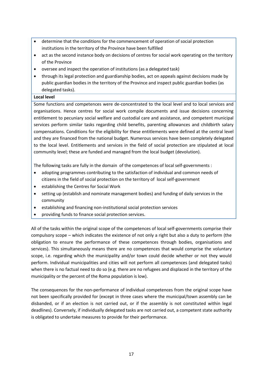- determine that the conditions for the commencement of operation of social protection institutions in the territory of the Province have been fulfilled
- act as the second instance body on decisions of centres for social work operating on the territory of the Province
- oversee and inspect the operation of institutions (as a delegated task)
- through its legal protection and guardianship bodies, act on appeals against decisions made by public guardian bodies in the territory of the Province and inspect public guardian bodies (as delegated tasks).

#### **Local level**

Some functions and competences were de-concentrated to the local level and to local services and organisations. Hence centres for social work compile documents and issue decisions concerning entitlement to pecuniary social welfare and custodial care and assistance, and competent municipal services perform similar tasks regarding child benefits, parenting allowances and childbirth salary compensations. Conditions for the eligibility for these entitlements were defined at the central level and they are financed from the national budget. Numerous services have been completely delegated to the local level. Entitlements and services in the field of social protection are stipulated at local community level; these are funded and managed from the local budget (devolution).

The following tasks are fully in the domain of the competences of local self-governments :

- adopting programmes contributing to the satisfaction of individual and common needs of citizens in the field of social protection on the territory of local self-government
- establishing the Centres for Social Work
- setting up (establish and nominate management bodies) and funding of daily services in the community
- establishing and financing non-institutional social protection services
- providing funds to finance social protection services.

All of the tasks within the original scope of the competences of local self-governments comprise their compulsory scope – which indicates the existence of not only a right but also a duty to perform (the obligation to ensure the performance of these competences through bodies, organisations and services). This simultaneously means there are no competences that would comprise the voluntary scope, i.e. regarding which the municipality and/or town could decide whether or not they would perform. Individual municipalities and cities will not perform all competences (and delegated tasks) when there is no factual need to do so (e.g. there are no refugees and displaced in the territory of the municipality or the percent of the Roma population is low).

The consequences for the non-performance of individual competences from the original scope have not been specifically provided for (except in three cases where the municipal/town assembly can be disbanded, or if an election is not carried out, or if the assembly is not constituted within legal deadlines). Conversely, if individually delegated tasks are not carried out, a competent state authority is obligated to undertake measures to provide for their performance.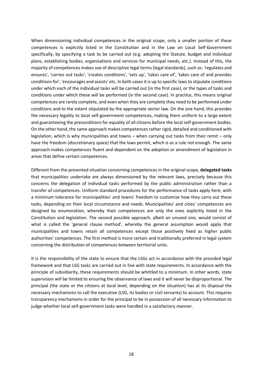When dimensioning individual competences in the original scope, only a smaller portion of these competences is explicitly listed in the Constitution and in the Law on Local Self-Government specifically, by specifying a task to be carried out (e.g. adopting the Statute, budget and individual plans, establishing bodies, organisations and services for municipal needs, etc.). Instead of this, the majority of competences makes use of descriptive legal terms (legal standards), such as: 'regulates and ensures', 'carries out tasks', 'creates conditions', 'sets up', 'takes care of', 'takes care of and provides conditions for', 'encourages and assists' etc. In both cases it is up to specific laws to stipulate conditions under which each of the individual tasks will be carried out (in the first case), or the types of tasks and conditions under which these will be performed (in the second case). In practice, this means original competences are rarely complete, and even when they are complete they need to be performed under conditions and to the extent stipulated by the appropriate sector law. On the one hand, this provides the necessary legality to local self-government competences, making them uniform to a large extent and guaranteeing the preconditions for equality of all citizens before the local self-government bodies. On the other hand, the same approach makes competences rather rigid, detailed and conditioned with legislation, which is why municipalities and towns – when carrying out tasks from their remit – only have the freedom (discretionary space) that the laws permit, which is as a rule not enough. The same approach makes competences fluent and dependent on the adoption or amendment of legislation in areas that define certain competences.

Different from the presented situation concerning competences in the original scope, **delegated tasks** that municipalities undertake are always dimensioned by the relevant laws, precisely because this concerns the delegation of individual tasks performed by the public administration rather than a transfer of competences. Uniform standard procedures for the performance of tasks apply here, with a minimum tolerance for municipalities' and towns' freedom to customise how they carry out these tasks, depending on their local circumstance and needs. Municipalities' and cities' competences are designed by enumeration, whereby their competences are only the ones explicitly listed in the Constitution and legislation. The second possible approach, albeit an unused one, would consist of what is called the 'general clause method', whereby the general assumption would apply that municipalities and towns retain all competences except those positively fixed as higher public authorities' competences. The first method is more certain and traditionally preferred in legal system concerning the distribution of competences between territorial units.

It is the responsibility of the state to ensure that the LSGs act in accordance with the provided legal framework and that LSG tasks are carried out in line with state requirements. In accordance with the principle of subsidiarity, these requirements should be whittled to a minimum. In other words, state supervision will be limited to ensuring the observance of laws and it will never be disproportional. The principal (the state or the citizens at local level, depending on the situation) has at its disposal the necessary mechanisms to call the executive (LSG, its bodies or civil servants) to account. This requires transparency mechanisms in order for the principal to be in possession of all necessary information to judge whether local self-government tasks were handled in a satisfactory manner.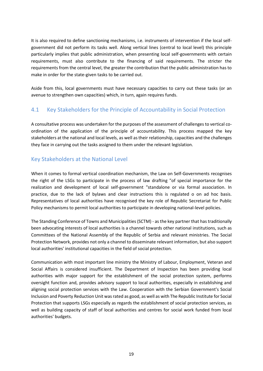It is also required to define sanctioning mechanisms, i.e. instruments of intervention if the local selfgovernment did not perform its tasks well. Along vertical lines (central to local level) this principle particularly implies that public administration, when presenting local self-governments with certain requirements, must also contribute to the financing of said requirements. The stricter the requirements from the central level, the greater the contribution that the public administration has to make in order for the state-given tasks to be carried out.

Aside from this, local governments must have necessary capacities to carry out these tasks (or an avenue to strengthen own capacities) which, in turn, again requires funds.

# <span id="page-18-0"></span>4.1 Key Stakeholders for the Principle of Accountability in Social Protection

A consultative process was undertaken for the purposes of the assessment of challenges to vertical coordination of the application of the principle of accountability. This process mapped the key stakeholders at the national and local levels, as well as their relationship, capacities and the challenges they face in carrying out the tasks assigned to them under the relevant legislation.

# Key Stakeholders at the National Level

When it comes to formal vertical coordination mechanism, the Law on Self-Governments recognises the right of the LSGs to participate in the process of law drafting "of special importance for the realization and development of local self-government "standalone or via formal association. In practice, due to the lack of bylaws and clear instructions this is regulated o on ad hoc basis. Representatives of local authorities have recognised the key role of Republic Secretariat for Public Policy mechanisms to permit local authorities to participate in developing national-level policies.

The Standing Conference of Towns and Municipalities (SCTM) - as the key partner that has traditionally been advocating interests of local authorities is a channel towards other national institutions, such as Committees of the National Assembly of the Republic of Serbia and relevant ministries. The Social Protection Network, provides not only a channel to disseminate relevant information, but also support local authorities' institutional capacities in the field of social protection.

Communication with most important line ministry the Ministry of Labour, Employment, Veteran and Social Affairs is considered insufficient. The Department of Inspection has been providing local authorities with major support for the establishment of the social protection system, performs oversight function and, provides advisory support to local authorities, especially in establishing and aligning social protection services with the Law. Cooperation with the Serbian Government's Social Inclusion and Poverty Reduction Unit was rated as good, as well as with The Republic Institute for Social Protection that supports LSGs especially as regards the establishment of social protection services, as well as building capacity of staff of local authorities and centres for social work funded from local authorities' budgets.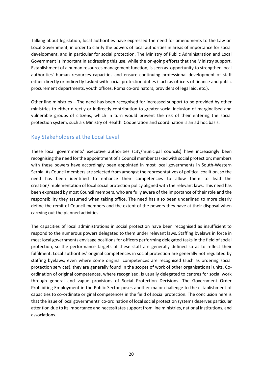Talking about legislation, local authorities have expressed the need for amendments to the Law on Local Government, in order to clarify the powers of local authorities in areas of importance for social development, and in particular for social protection. The Ministry of Public Administration and Local Government is important in addressing this use, while the on-going efforts that the Ministry support, Establishment of a human resources management function, is seen as opportunity to strengthen local authorities' human resources capacities and ensure continuing professional development of staff either directly or indirectly tasked with social protection duties (such as officers of finance and public procurement departments, youth offices, Roma co-ordinators, providers of legal aid, etc.).

Other line ministries – The need has been recognised for increased support to be provided by other ministries to either directly or indirectly contribution to greater social inclusion of marginalised and vulnerable groups of citizens, which in turn would prevent the risk of their entering the social protection system, such a s Ministry of Health. Cooperation and coordination is an ad hoc basis.

### Key Stakeholders at the Local Level

These local governments' executive authorities (city/municipal councils) have increasingly been recognising the need for the appointment of a Council member tasked with social protection; members with these powers have accordingly been appointed in most local governments in South-Western Serbia. As Council members are selected from amongst the representatives of political coalition, so the need has been identified to enhance their competencies to allow them to lead the creation/implementation of local social protection policy aligned with the relevant laws. This need has been expressed by most Council members, who are fully aware of the importance of their role and the responsibility they assumed when taking office. The need has also been underlined to more clearly define the remit of Council members and the extent of the powers they have at their disposal when carrying out the planned activities.

The capacities of local administrations in social protection have been recognised as insufficient to respond to the numerous powers delegated to them under relevant laws. Staffing byelaws in force in most local governments envisage positions for officers performing delegated tasks in the field of social protection, so the performance targets of these staff are generally defined so as to reflect their fulfilment. Local authorities' original competences in social protection are generally not regulated by staffing byelaws; even where some original competences are recognised (such as ordering social protection services), they are generally found in the scopes of work of other organisational units. Coordination of original competences, where recognised, is usually delegated to centres for social work through general and vague provisions of Social Protection Decisions. The Government Order Prohibiting Employment in the Public Sector poses another major challenge to the establishment of capacities to co-ordinate original competences in the field of social protection. The conclusion here is that the issue of local governments' co-ordination of local social protection systems deserves particular attention due to its importance and necessitates support from line ministries, national institutions, and associations.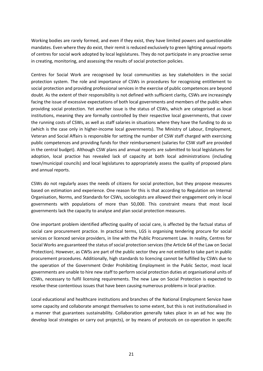Working bodies are rarely formed, and even if they exist, they have limited powers and questionable mandates. Even where they do exist, their remit is reduced exclusively to green lighting annual reports of centres for social work adopted by local legislatures. They do not participate in any proactive sense in creating, monitoring, and assessing the results of social protection policies.

Centres for Social Work are recognised by local communities as key stakeholders in the social protection system. The role and importance of CSWs in procedures for recognising entitlement to social protection and providing professional services in the exercise of public competences are beyond doubt. As the extent of their responsibility is not defined with sufficient clarity, CSWs are increasingly facing the issue of excessive expectations of both local governments and members of the public when providing social protection. Yet another issue is the status of CSWs, which are categorised as local institutions, meaning they are formally controlled by their respective local governments, that cover the running costs of CSWs, as well as staff salaries in situations where they have the funding to do so (which is the case only in higher-income local governments). The Ministry of Labour, Employment, Veteran and Social Affairs is responsible for setting the number of CSW staff charged with exercising public competences and providing funds for their reimbursement (salaries for CSW staff are provided in the central budget). Although CSW plans and annual reports are submitted to local legislatures for adoption, local practice has revealed lack of capacity at both local administrations (including town/municipal councils) and local legislatures to appropriately assess the quality of proposed plans and annual reports.

CSWs do not regularly asses the needs of citizens for social protection, but they propose measures based on estimation and experience. One reason for this is that according to Regulation on Internal Organisation, Norms, and Standards for CSWs, sociologists are allowed their engagement only in local governments with populations of more than 50,000. This constraint means that most local governments lack the capacity to analyse and plan social protection measures.

One important problem identified affecting quality of social care, is affected by the factual status of social care procurement practice. In practical terms, LGS is organising tendering procure for social services or licenced service providers, in line with the Public Procurement Law. In reality, Centres for Social Works are guaranteed the status of social protection services (the Article 64 of the Law on Social Protection). However, as CWSs are part of the public sector they are not entitled to take part in public procurement procedures. Additionally, high standards to licencing cannot be fulfilled by CSWs due to the operation of the Government Order Prohibiting Employment in the Public Sector, most local governments are unable to hire new staff to perform social protection duties at organisational units of CSWs, necessary to fulfil licensing requirements. The new Law on Social Protection is expected to resolve these contentious issues that have been causing numerous problems in local practice.

Local educational and healthcare institutions and branches of the National Employment Service have some capacity and collaborate amongst themselves to some extent, but this is not institutionalised in a manner that guarantees sustainability. Collaboration generally takes place in an ad hoc way (to develop local strategies or carry out projects), or by means of protocols on co-operation in specific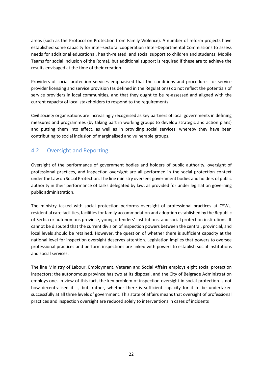areas (such as the Protocol on Protection from Family Violence). A number of reform projects have established some capacity for inter-sectoral cooperation (Inter-Departmental Commissions to assess needs for additional educational, health-related, and social support to children and students; Mobile Teams for social inclusion of the Roma), but additional support is required if these are to achieve the results envisaged at the time of their creation.

Providers of social protection services emphasised that the conditions and procedures for service provider licensing and service provision (as defined in the Regulations) do not reflect the potentials of service providers in local communities, and that they ought to be re-assessed and aligned with the current capacity of local stakeholders to respond to the requirements.

Civil society organisations are increasingly recognised as key partners of local governments in defining measures and programmes (by taking part in working groups to develop strategic and action plans) and putting them into effect, as well as in providing social services, whereby they have been contributing to social inclusion of marginalised and vulnerable groups.

# <span id="page-21-0"></span>4.2 Oversight and Reporting

Oversight of the performance of government bodies and holders of public authority, oversight of professional practices, and inspection oversight are all performed in the social protection context under the Law on Social Protection. The line ministry oversees government bodies and holders of public authority in their performance of tasks delegated by law, as provided for under legislation governing public administration.

The ministry tasked with social protection performs oversight of professional practices at CSWs, residential care facilities, facilities for family accommodation and adoption established by the Republic of Serbia or autonomous province, young offenders' institutions, and social protection institutions. It cannot be disputed that the current division of inspection powers between the central, provincial, and local levels should be retained. However, the question of whether there is sufficient capacity at the national level for inspection oversight deserves attention. Legislation implies that powers to oversee professional practices and perform inspections are linked with powers to establish social institutions and social services.

The line Ministry of Labour, Employment, Veteran and Social Affairs employs eight social protection inspectors; the autonomous province has two at its disposal, and the City of Belgrade Administration employs one. In view of this fact, the key problem of inspection oversight in social protection is not how decentralised it is, but, rather, whether there is sufficient capacity for it to be undertaken successfully at all three levels of government. This state of affairs means that oversight of professional practices and inspection oversight are reduced solely to interventions in cases of incidents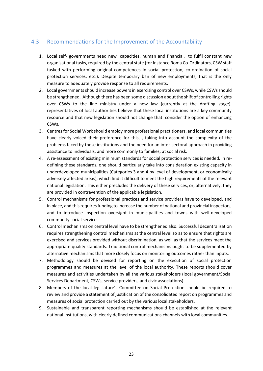### <span id="page-22-0"></span>4.3 Recommendations for the Improvement of the Accountability

- 1. Local self- governments need new capacities, human and financial, to fulfil constant new organisational tasks, required by the central state (for instance Roma Co-Ordinators, CSW staff tasked with performing original competences in social protection, co-ordination of social protection services, etc.). Despite temporary ban of new employments, that is the only measure to adequately provide response to all requirements.
- 2. Local governments should increase powers in exercising control over CSWs, while CSWs should be strengthened. Although there has been some discussion about the shift of controlling rights over CSWs to the line ministry under a new law (currently at the drafting stage), representatives of local authorities believe that these local institutions are a key community resource and that new legislation should not change that. consider the option of enhancing CSWs.
- 3. Centres for Social Work should employ more professional practitioners, and local communities have clearly voiced their preference for this, , taking into account the complexity of the problems faced by these institutions and the need for an inter-sectoral approach in providing assistance to individuals, and more commonly to families, at social risk.
- 4. A re-assessment of existing minimum standards for social protection services is needed. In redefining these standards, one should particularly take into consideration existing capacity in underdeveloped municipalities (Categories 3 and 4 by level of development, or economically adversely affected areas), which find it difficult to meet the high requirements of the relevant national legislation. This either precludes the delivery of these services, or, alternatively, they are provided in contravention of the applicable legislation.
- 5. Control mechanisms for professional practices and service providers have to developed, and in place, and this requires funding to increase the number of national and provincial inspectors, and to introduce inspection oversight in municipalities and towns with well-developed community social services.
- 6. Control mechanisms on central level have to be strengthened also. Successful decentralisation requires strengthening control mechanisms at the central level so as to ensure that rights are exercised and services provided without discrimination, as well as that the services meet the appropriate quality standards. Traditional control mechanisms ought to be supplemented by alternative mechanisms that more closely focus on monitoring outcomes rather than inputs.
- 7. Methodology should be devised for reporting on the execution of social protection programmes and measures at the level of the local authority. These reports should cover measures and activities undertaken by all the various stakeholders (local government/Social Services Department, CSWs, service providers, and civic associations).
- 8. Members of the local legislature's Committee on Social Protection should be required to review and provide a statement of justification of the consolidated report on programmes and measures of social protection carried out by the various local stakeholders.
- 9. Sustainable and transparent reporting mechanisms should be established at the relevant national institutions, with clearly defined communications channels with local communities.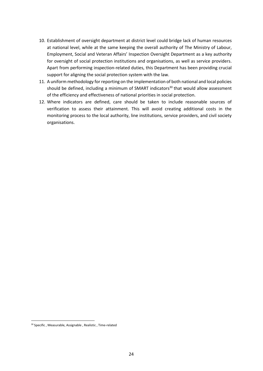- 10. Establishment of oversight department at district level could bridge lack of human resources at national level, while at the same keeping the overall authority of The Ministry of Labour, Employment, Social and Veteran Affairs' Inspection Oversight Department as a key authority for oversight of social protection institutions and organisations, as well as service providers. Apart from performing inspection-related duties, this Department has been providing crucial support for aligning the social protection system with the law.
- 11. A uniform methodology for reporting on the implementation of both national and local policies should be defined, including a minimum of SMART indicators<sup>30</sup> that would allow assessment of the efficiency and effectiveness of national priorities in social protection.
- 12. Where indicators are defined, care should be taken to include reasonable sources of verification to assess their attainment. This will avoid creating additional costs in the monitoring process to the local authority, line institutions, service providers, and civil society organisations.

<sup>30</sup> Specific , Measurable, Assignable , Realistic , Time-related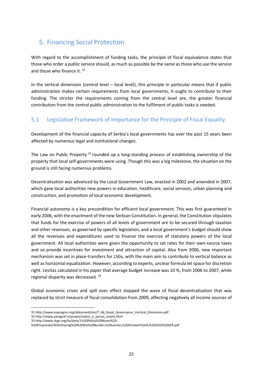# <span id="page-24-0"></span>5. Financing Social Protection

With regard to the accomplishment of funding tasks, the principle of fiscal equivalence states that those who order a public service should, as much as possible be the same as those who use the service and those who finance it. 31

In the vertical dimension (central level – local level), this principle in particular means that if public administration makes certain requirements from local governments, it ought to contribute to their funding. The stricter the requirements coming from the central level are, the greater financial contribution from the central public administration to the fulfilment of public tasks is needed.

# <span id="page-24-1"></span>5.1 Legislative Framework of Importance for the Principle of Fiscal Equality

Development of the financial capacity of Serbia's local governments has over the past 15 years been affected by numerous legal and institutional changes.

The Law on Public Property<sup>32</sup> rounded up a long-standing process of establishing ownership of the property that local self-governments were using. Though this was a big milestone, the situation on the ground is still facing numerous problems.

Decentralisation was advanced by the Local Government Law, enacted in 2002 and amended in 2007, which gave local authorities new powers in education, healthcare, social services, urban planning and construction, and promotion of local economic development.

Financial autonomy is a key precondition for efficient local government. This was first guaranteed in early 2006, with the enactment of the new Serbian Constitution. In general, the Constitution stipulates that funds for the exercise of powers of all levels of government are to be secured through taxation and other revenues, as governed by specific legislation, and a local government's budget should show all the revenues and expenditures used to finance the exercise of statutory powers of the local government. All local authorities were given the opportunity to set rates for their own-source taxes and so provide incentives for investment and attraction of capital. Also from 2006, new important mechanism was set in place-transfers for LSGs, with the main aim to contribute to vertical balance as well as horizontal equalization. However, according to experts, unclear formula let space for discretion right. Levitas calculated in his paper that average budget increase was 10 %, from 2006 to 2007, while regional disparity was decreased. <sup>33</sup>

Global economic crises and spill over effect stopped the wave of fiscal decentralisation that was replaced by strict measure of fiscal consolidation from 2009, affecting negatively all income sources of

33 http://www.skgo.org/bz/data/1%20Policy%20Notes%20-

<sup>31</sup> http://www.euprogres.org/dokumenti/en/7\_46\_Good\_Governance\_Vertical\_Dimension.pdf

<sup>32</sup> http://www.paragraf.rs/propisi/zakon\_o\_javnoj\_svojini.html

<sup>%20</sup>Preporuke/SER/Sharing%20%20the%20Burden,%20Levitas,%20October%204,%202010%20SER.pdf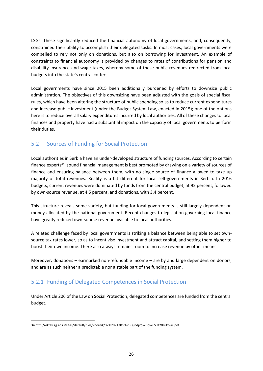LSGs. These significantly reduced the financial autonomy of local governments, and, consequently, constrained their ability to accomplish their delegated tasks. In most cases, local governments were compelled to rely not only on donations, but also on borrowing for investment. An example of constraints to financial autonomy is provided by changes to rates of contributions for pension and disability insurance and wage taxes, whereby some of these public revenues redirected from local budgets into the state's central coffers.

Local governments have since 2015 been additionally burdened by efforts to downsize public administration. The objectives of this downsizing have been adjusted with the goals of special fiscal rules, which have been altering the structure of public spending so as to reduce current expenditures and increase public investment (under the Budget System Law, enacted in 2015); one of the options here is to reduce overall salary expenditures incurred by local authorities. All of these changes to local finances and property have had a substantial impact on the capacity of local governments to perform their duties.

# <span id="page-25-0"></span>5.2 Sources of Funding for Social Protection

Local authorities in Serbia have an under-developed structure of funding sources. According to certain finance experts<sup>34</sup>, sound financial management is best promoted by drawing on a variety of sources of finance and ensuring balance between them, with no single source of finance allowed to take up majority of total revenues. Reality is a bit different for local self-governments in Serbia. In 2016 budgets, current revenues were dominated by funds from the central budget, at 92 percent, followed by own-source revenue, at 4.5 percent, and donations, with 3.4 percent.

This structure reveals some variety, but funding for local governments is still largely dependent on money allocated by the national government. Recent changes to legislation governing local finance have greatly reduced own-source revenue available to local authorities.

A related challenge faced by local governments is striking a balance between being able to set ownsource tax rates lower, so as to incentivise investment and attract capital, and setting them higher to boost their own income. There also always remains room to increase revenue by other means.

Moreover, donations – earmarked non-refundable income – are by and large dependent on donors, and are as such neither a predictable nor a stable part of the funding system.

# 5.2.1 Funding of Delegated Competences in Social Protection

Under Article 206 of the Law on Social Protection, delegated competences are funded from the central budget.

<sup>34</sup> http://ekfak.kg.ac.rs/sites/default/files/Zbornik/37%20-%20S.%20Djindjic%20i%20S.%20Lukovic.pdf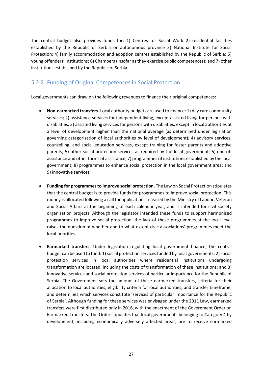The central budget also provides funds for: 1) Centres for Social Work 2) residential facilities established by the Republic of Serbia or autonomous province 3) National Institute for Social Protection; 4) family accommodation and adoption centres established by the Republic of Serbia; 5) young offenders' institutions; 6) Chambers (insofar as they exercise public competences); and 7) other institutions established by the Republic of Serbia.

# 5.2.2 Funding of Original Competences in Social Protection

Local governments can draw on the following revenues to finance their original competences:

- **Non-earmarked transfers**. Local authority budgets are used to finance: 1) day care community services; 2) assistance services for independent living, except assisted living for persons with disabilities; 3) assisted living services for persons with disabilities, except in local authorities at a level of development higher than the national average (as determined under legislation governing categorisation of local authorities by level of development); 4) advisory services, counselling, and social education services, except training for foster parents and adoptive parents; 5) other social protection services as required by the local government; 6) one-off assistance and other forms of assistance; 7) programmes of institutions established by the local government; 8) programmes to enhance social protection in the local government area; and 9) innovative services.
- **Funding for programmes to improve social protection**. The Law on Social Protection stipulates that the central budget is to provide funds for programmes to improve social protection. This money is allocated following a call for applications released by the Ministry of Labour, Veteran and Social Affairs at the beginning of each calendar year, and is intended for civil society organisation projects. Although the legislator intended these funds to support harmonised programmes to improve social protection, the lack of these programmes at the local level raises the question of whether and to what extent civic associations' programmes meet the local priorities.
- **Earmarked transfers.** Under legislation regulating local government finance, the central budget can be used to fund: 1) social protection services funded by local governments; 2) social protection services in local authorities where residential institutions undergoing transformation are located, including the costs of transformation of these institutions; and 3) innovative services and social protection services of particular importance for the Republic of Serbia. The Government sets the amount of these earmarked transfers, criteria for their allocation to local authorities, eligibility criteria for local authorities, and transfer timeframe, and determines which services constitute 'services of particular importance for the Republic of Serbia'. Although funding for these services was envisaged under the 2011 Law, earmarked transfers were first distributed only in 2016, with the enactment of the Government Order on Earmarked Transfers. The Order stipulates that local governments belonging to Category 4 by development, including economically adversely affected areas, are to receive earmarked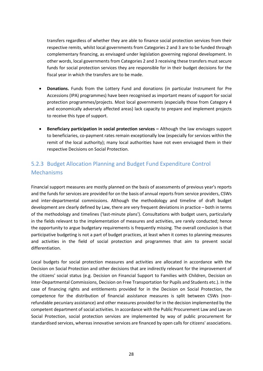transfers regardless of whether they are able to finance social protection services from their respective remits, whilst local governments from Categories 2 and 3 are to be funded through complementary financing, as envisaged under legislation governing regional development. In other words, local governments from Categories 2 and 3 receiving these transfers must secure funds for social protection services they are responsible for in their budget decisions for the fiscal year in which the transfers are to be made.

- **Donations.** Funds from the Lottery Fund and donations (in particular Instrument for Pre Accessions (IPA) programmes) have been recognised as important means of support for social protection programmes/projects. Most local governments (especially those from Category 4 and economically adversely affected areas) lack capacity to prepare and implement projects to receive this type of support.
- **Beneficiary participation in social protection services Although the law envisages support** to beneficiaries, co-payment rates remain exceptionally low (especially for services within the remit of the local authority); many local authorities have not even envisaged them in their respective Decisions on Social Protection.

# 5.2.3 Budget Allocation Planning and Budget Fund Expenditure Control Mechanisms

Financial support measures are mostly planned on the basis of assessments of previous year's reports and the funds for services are provided for on the basis of annual reports from service providers, CSWs and inter-departmental commissions. Although the methodology and timeline of draft budget development are clearly defined by Law, there are very frequent deviations in practice – both in terms of the methodology and timelines ('last-minute plans'). Consultations with budget users, particularly in the fields relevant to the implementation of measures and activities, are rarely conducted; hence the opportunity to argue budgetary requirements is frequently missing. The overall conclusion is that participative budgeting is not a part of budget practices, at least when it comes to planning measures and activities in the field of social protection and programmes that aim to prevent social differentiation.

Local budgets for social protection measures and activities are allocated in accordance with the Decision on Social Protection and other decisions that are indirectly relevant for the improvement of the citizens' social status (e.g. Decision on Financial Support to Families with Children, Decision on Inter-Departmental Commissions, Decision on Free Transportation for Pupils and Students etc.). In the case of financing rights and entitlements provided for in the Decision on Social Protection, the competence for the distribution of financial assistance measures is split between CSWs (nonrefundable pecuniary assistance) and other measures provided for in the decision implemented by the competent department of social activities. In accordance with the Public Procurement Law and Law on Social Protection, social protection services are implemented by way of public procurement for standardised services, whereas innovative services are financed by open calls for citizens' associations.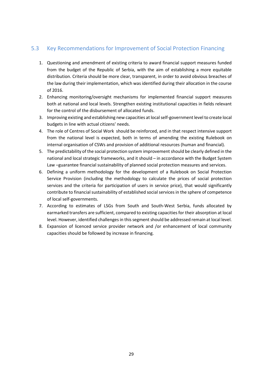### <span id="page-28-0"></span>5.3 Key Recommendations for Improvement of Social Protection Financing

- 1. Questioning and amendment of existing criteria to award financial support measures funded from the budget of the Republic of Serbia, with the aim of establishing a more equitable distribution. Criteria should be more clear, transparent, in order to avoid obvious breaches of the law during their implementation, which was identified during their allocation in the course of 2016.
- 2. Enhancing monitoring/oversight mechanisms for implemented financial support measures both at national and local levels. Strengthen existing institutional capacities in fields relevant for the control of the disbursement of allocated funds.
- 3. Improving existing and establishing new capacities at local self-government level to create local budgets in line with actual citizens' needs.
- 4. The role of Centres of Social Work should be reinforced, and in that respect intensive support from the national level is expected, both in terms of amending the existing Rulebook on internal organisation of CSWs and provision of additional resources (human and financial).
- 5. The predictability of the social protection system improvement should be clearly defined in the national and local strategic frameworks, and it should – in accordance with the Budget System Law –guarantee financial sustainability of planned social protection measures and services.
- 6. Defining a uniform methodology for the development of a Rulebook on Social Protection Service Provision (including the methodology to calculate the prices of social protection services and the criteria for participation of users in service price), that would significantly contribute to financial sustainability of established social services in the sphere of competence of local self-governments.
- 7. According to estimates of LSGs from South and South-West Serbia, funds allocated by earmarked transfers are sufficient, compared to existing capacities for their absorption at local level. However, identified challenges in this segment should be addressed remain at local level.
- 8. Expansion of licenced service provider network and /or enhancement of local community capacities should be followed by increase in financing.